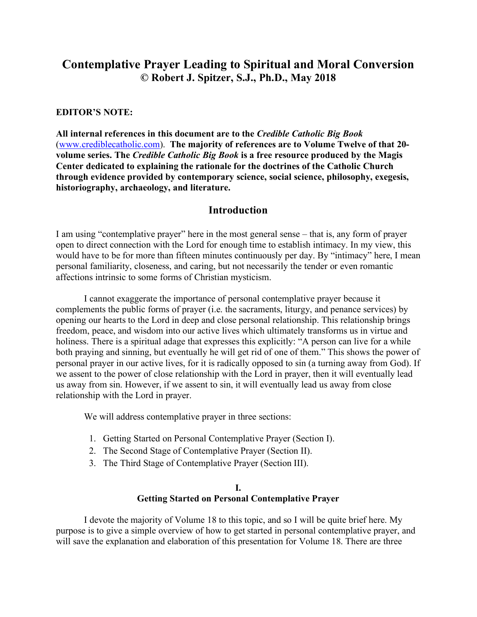# **Contemplative Prayer Leading to Spiritual and Moral Conversion © Robert J. Spitzer, S.J., Ph.D., May 2018**

### **EDITOR'S NOTE:**

**All internal references in this document are to the** *Credible Catholic Big Book* (www.crediblecatholic.com). **The majority of references are to Volume Twelve of that 20 volume series. The** *Credible Catholic Big Book* **is a free resource produced by the Magis Center dedicated to explaining the rationale for the doctrines of the Catholic Church through evidence provided by contemporary science, social science, philosophy, exegesis, historiography, archaeology, and literature.**

# **Introduction**

I am using "contemplative prayer" here in the most general sense – that is, any form of prayer open to direct connection with the Lord for enough time to establish intimacy. In my view, this would have to be for more than fifteen minutes continuously per day. By "intimacy" here, I mean personal familiarity, closeness, and caring, but not necessarily the tender or even romantic affections intrinsic to some forms of Christian mysticism.

 I cannot exaggerate the importance of personal contemplative prayer because it complements the public forms of prayer (i.e. the sacraments, liturgy, and penance services) by opening our hearts to the Lord in deep and close personal relationship. This relationship brings freedom, peace, and wisdom into our active lives which ultimately transforms us in virtue and holiness. There is a spiritual adage that expresses this explicitly: "A person can live for a while both praying and sinning, but eventually he will get rid of one of them." This shows the power of personal prayer in our active lives, for it is radically opposed to sin (a turning away from God). If we assent to the power of close relationship with the Lord in prayer, then it will eventually lead us away from sin. However, if we assent to sin, it will eventually lead us away from close relationship with the Lord in prayer.

We will address contemplative prayer in three sections:

- 1. Getting Started on Personal Contemplative Prayer (Section I).
- 2. The Second Stage of Contemplative Prayer (Section II).
- 3. The Third Stage of Contemplative Prayer (Section III).

#### **I. Getting Started on Personal Contemplative Prayer**

 I devote the majority of Volume 18 to this topic, and so I will be quite brief here. My purpose is to give a simple overview of how to get started in personal contemplative prayer, and will save the explanation and elaboration of this presentation for Volume 18. There are three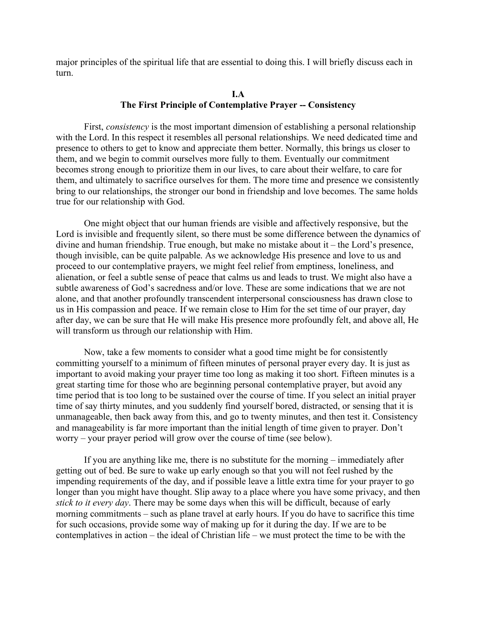major principles of the spiritual life that are essential to doing this. I will briefly discuss each in turn.

### **I.A The First Principle of Contemplative Prayer -- Consistency**

First, *consistency* is the most important dimension of establishing a personal relationship with the Lord. In this respect it resembles all personal relationships. We need dedicated time and presence to others to get to know and appreciate them better. Normally, this brings us closer to them, and we begin to commit ourselves more fully to them. Eventually our commitment becomes strong enough to prioritize them in our lives, to care about their welfare, to care for them, and ultimately to sacrifice ourselves for them. The more time and presence we consistently bring to our relationships, the stronger our bond in friendship and love becomes. The same holds true for our relationship with God.

 One might object that our human friends are visible and affectively responsive, but the Lord is invisible and frequently silent, so there must be some difference between the dynamics of divine and human friendship. True enough, but make no mistake about it – the Lord's presence, though invisible, can be quite palpable. As we acknowledge His presence and love to us and proceed to our contemplative prayers, we might feel relief from emptiness, loneliness, and alienation, or feel a subtle sense of peace that calms us and leads to trust. We might also have a subtle awareness of God's sacredness and/or love. These are some indications that we are not alone, and that another profoundly transcendent interpersonal consciousness has drawn close to us in His compassion and peace. If we remain close to Him for the set time of our prayer, day after day, we can be sure that He will make His presence more profoundly felt, and above all, He will transform us through our relationship with Him.

 Now, take a few moments to consider what a good time might be for consistently committing yourself to a minimum of fifteen minutes of personal prayer every day. It is just as important to avoid making your prayer time too long as making it too short. Fifteen minutes is a great starting time for those who are beginning personal contemplative prayer, but avoid any time period that is too long to be sustained over the course of time. If you select an initial prayer time of say thirty minutes, and you suddenly find yourself bored, distracted, or sensing that it is unmanageable, then back away from this, and go to twenty minutes, and then test it. Consistency and manageability is far more important than the initial length of time given to prayer. Don't worry – your prayer period will grow over the course of time (see below).

 If you are anything like me, there is no substitute for the morning – immediately after getting out of bed. Be sure to wake up early enough so that you will not feel rushed by the impending requirements of the day, and if possible leave a little extra time for your prayer to go longer than you might have thought. Slip away to a place where you have some privacy, and then *stick to it every day*. There may be some days when this will be difficult, because of early morning commitments – such as plane travel at early hours. If you do have to sacrifice this time for such occasions, provide some way of making up for it during the day. If we are to be contemplatives in action – the ideal of Christian life – we must protect the time to be with the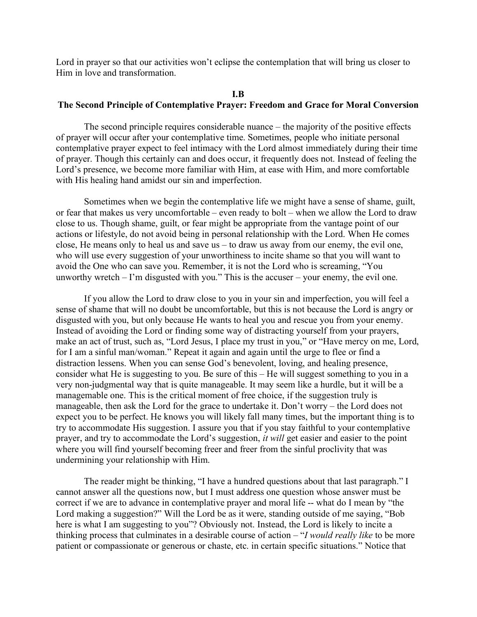Lord in prayer so that our activities won't eclipse the contemplation that will bring us closer to Him in love and transformation.

#### **I.B**

# **The Second Principle of Contemplative Prayer: Freedom and Grace for Moral Conversion**

 The second principle requires considerable nuance – the majority of the positive effects of prayer will occur after your contemplative time. Sometimes, people who initiate personal contemplative prayer expect to feel intimacy with the Lord almost immediately during their time of prayer. Though this certainly can and does occur, it frequently does not. Instead of feeling the Lord's presence, we become more familiar with Him, at ease with Him, and more comfortable with His healing hand amidst our sin and imperfection.

 Sometimes when we begin the contemplative life we might have a sense of shame, guilt, or fear that makes us very uncomfortable – even ready to bolt – when we allow the Lord to draw close to us. Though shame, guilt, or fear might be appropriate from the vantage point of our actions or lifestyle, do not avoid being in personal relationship with the Lord. When He comes close, He means only to heal us and save us  $-$  to draw us away from our enemy, the evil one, who will use every suggestion of your unworthiness to incite shame so that you will want to avoid the One who can save you. Remember, it is not the Lord who is screaming, "You unworthy wretch  $-1$ 'm disgusted with you." This is the accuser  $-$  your enemy, the evil one.

 If you allow the Lord to draw close to you in your sin and imperfection, you will feel a sense of shame that will no doubt be uncomfortable, but this is not because the Lord is angry or disgusted with you, but only because He wants to heal you and rescue you from your enemy. Instead of avoiding the Lord or finding some way of distracting yourself from your prayers, make an act of trust, such as, "Lord Jesus, I place my trust in you," or "Have mercy on me, Lord, for I am a sinful man/woman." Repeat it again and again until the urge to flee or find a distraction lessens. When you can sense God's benevolent, loving, and healing presence, consider what He is suggesting to you. Be sure of this – He will suggest something to you in a very non-judgmental way that is quite manageable. It may seem like a hurdle, but it will be a managemable one. This is the critical moment of free choice, if the suggestion truly is manageable, then ask the Lord for the grace to undertake it. Don't worry – the Lord does not expect you to be perfect. He knows you will likely fall many times, but the important thing is to try to accommodate His suggestion. I assure you that if you stay faithful to your contemplative prayer, and try to accommodate the Lord's suggestion, *it will* get easier and easier to the point where you will find yourself becoming freer and freer from the sinful proclivity that was undermining your relationship with Him.

 The reader might be thinking, "I have a hundred questions about that last paragraph." I cannot answer all the questions now, but I must address one question whose answer must be correct if we are to advance in contemplative prayer and moral life -- what do I mean by "the Lord making a suggestion?" Will the Lord be as it were, standing outside of me saying, "Bob here is what I am suggesting to you"? Obviously not. Instead, the Lord is likely to incite a thinking process that culminates in a desirable course of action – "*I would really like* to be more patient or compassionate or generous or chaste, etc. in certain specific situations." Notice that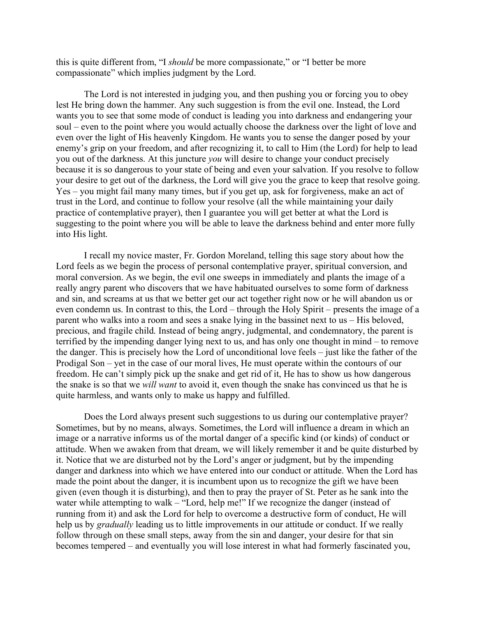this is quite different from, "I *should* be more compassionate," or "I better be more compassionate" which implies judgment by the Lord.

 The Lord is not interested in judging you, and then pushing you or forcing you to obey lest He bring down the hammer. Any such suggestion is from the evil one. Instead, the Lord wants you to see that some mode of conduct is leading you into darkness and endangering your soul – even to the point where you would actually choose the darkness over the light of love and even over the light of His heavenly Kingdom. He wants you to sense the danger posed by your enemy's grip on your freedom, and after recognizing it, to call to Him (the Lord) for help to lead you out of the darkness. At this juncture *you* will desire to change your conduct precisely because it is so dangerous to your state of being and even your salvation. If you resolve to follow your desire to get out of the darkness, the Lord will give you the grace to keep that resolve going. Yes – you might fail many many times, but if you get up, ask for forgiveness, make an act of trust in the Lord, and continue to follow your resolve (all the while maintaining your daily practice of contemplative prayer), then I guarantee you will get better at what the Lord is suggesting to the point where you will be able to leave the darkness behind and enter more fully into His light.

 I recall my novice master, Fr. Gordon Moreland, telling this sage story about how the Lord feels as we begin the process of personal contemplative prayer, spiritual conversion, and moral conversion. As we begin, the evil one sweeps in immediately and plants the image of a really angry parent who discovers that we have habituated ourselves to some form of darkness and sin, and screams at us that we better get our act together right now or he will abandon us or even condemn us. In contrast to this, the Lord – through the Holy Spirit – presents the image of a parent who walks into a room and sees a snake lying in the bassinet next to us – His beloved, precious, and fragile child. Instead of being angry, judgmental, and condemnatory, the parent is terrified by the impending danger lying next to us, and has only one thought in mind – to remove the danger. This is precisely how the Lord of unconditional love feels – just like the father of the Prodigal Son – yet in the case of our moral lives, He must operate within the contours of our freedom. He can't simply pick up the snake and get rid of it, He has to show us how dangerous the snake is so that we *will want* to avoid it, even though the snake has convinced us that he is quite harmless, and wants only to make us happy and fulfilled.

 Does the Lord always present such suggestions to us during our contemplative prayer? Sometimes, but by no means, always. Sometimes, the Lord will influence a dream in which an image or a narrative informs us of the mortal danger of a specific kind (or kinds) of conduct or attitude. When we awaken from that dream, we will likely remember it and be quite disturbed by it. Notice that we are disturbed not by the Lord's anger or judgment, but by the impending danger and darkness into which we have entered into our conduct or attitude. When the Lord has made the point about the danger, it is incumbent upon us to recognize the gift we have been given (even though it is disturbing), and then to pray the prayer of St. Peter as he sank into the water while attempting to walk – "Lord, help me!" If we recognize the danger (instead of running from it) and ask the Lord for help to overcome a destructive form of conduct, He will help us by *gradually* leading us to little improvements in our attitude or conduct. If we really follow through on these small steps, away from the sin and danger, your desire for that sin becomes tempered – and eventually you will lose interest in what had formerly fascinated you,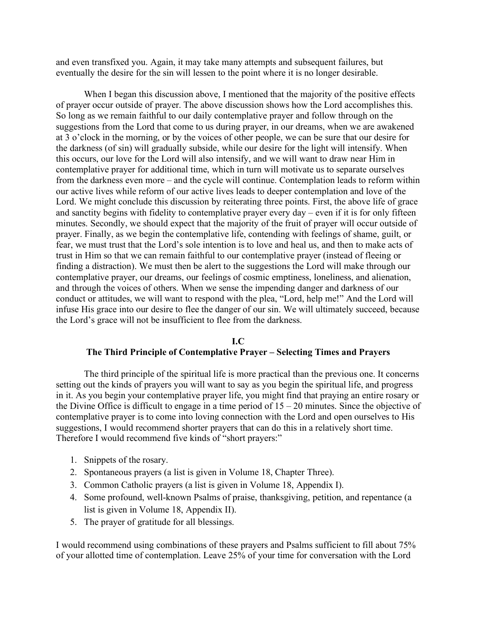and even transfixed you. Again, it may take many attempts and subsequent failures, but eventually the desire for the sin will lessen to the point where it is no longer desirable.

When I began this discussion above, I mentioned that the majority of the positive effects of prayer occur outside of prayer. The above discussion shows how the Lord accomplishes this. So long as we remain faithful to our daily contemplative prayer and follow through on the suggestions from the Lord that come to us during prayer, in our dreams, when we are awakened at 3 o'clock in the morning, or by the voices of other people, we can be sure that our desire for the darkness (of sin) will gradually subside, while our desire for the light will intensify. When this occurs, our love for the Lord will also intensify, and we will want to draw near Him in contemplative prayer for additional time, which in turn will motivate us to separate ourselves from the darkness even more – and the cycle will continue. Contemplation leads to reform within our active lives while reform of our active lives leads to deeper contemplation and love of the Lord. We might conclude this discussion by reiterating three points. First, the above life of grace and sanctity begins with fidelity to contemplative prayer every day – even if it is for only fifteen minutes. Secondly, we should expect that the majority of the fruit of prayer will occur outside of prayer. Finally, as we begin the contemplative life, contending with feelings of shame, guilt, or fear, we must trust that the Lord's sole intention is to love and heal us, and then to make acts of trust in Him so that we can remain faithful to our contemplative prayer (instead of fleeing or finding a distraction). We must then be alert to the suggestions the Lord will make through our contemplative prayer, our dreams, our feelings of cosmic emptiness, loneliness, and alienation, and through the voices of others. When we sense the impending danger and darkness of our conduct or attitudes, we will want to respond with the plea, "Lord, help me!" And the Lord will infuse His grace into our desire to flee the danger of our sin. We will ultimately succeed, because the Lord's grace will not be insufficient to flee from the darkness.

# **I.C The Third Principle of Contemplative Prayer – Selecting Times and Prayers**

 The third principle of the spiritual life is more practical than the previous one. It concerns setting out the kinds of prayers you will want to say as you begin the spiritual life, and progress in it. As you begin your contemplative prayer life, you might find that praying an entire rosary or the Divine Office is difficult to engage in a time period of  $15 - 20$  minutes. Since the objective of contemplative prayer is to come into loving connection with the Lord and open ourselves to His suggestions, I would recommend shorter prayers that can do this in a relatively short time. Therefore I would recommend five kinds of "short prayers:"

- 1. Snippets of the rosary.
- 2. Spontaneous prayers (a list is given in Volume 18, Chapter Three).
- 3. Common Catholic prayers (a list is given in Volume 18, Appendix I).
- 4. Some profound, well-known Psalms of praise, thanksgiving, petition, and repentance (a list is given in Volume 18, Appendix II).
- 5. The prayer of gratitude for all blessings.

I would recommend using combinations of these prayers and Psalms sufficient to fill about 75% of your allotted time of contemplation. Leave 25% of your time for conversation with the Lord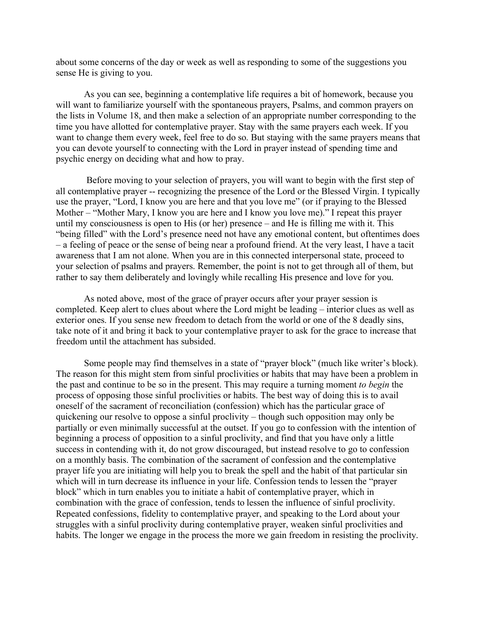about some concerns of the day or week as well as responding to some of the suggestions you sense He is giving to you.

 As you can see, beginning a contemplative life requires a bit of homework, because you will want to familiarize yourself with the spontaneous prayers, Psalms, and common prayers on the lists in Volume 18, and then make a selection of an appropriate number corresponding to the time you have allotted for contemplative prayer. Stay with the same prayers each week. If you want to change them every week, feel free to do so. But staying with the same prayers means that you can devote yourself to connecting with the Lord in prayer instead of spending time and psychic energy on deciding what and how to pray.

 Before moving to your selection of prayers, you will want to begin with the first step of all contemplative prayer -- recognizing the presence of the Lord or the Blessed Virgin. I typically use the prayer, "Lord, I know you are here and that you love me" (or if praying to the Blessed Mother – "Mother Mary, I know you are here and I know you love me)." I repeat this prayer until my consciousness is open to His (or her) presence – and He is filling me with it. This "being filled" with the Lord's presence need not have any emotional content, but oftentimes does – a feeling of peace or the sense of being near a profound friend. At the very least, I have a tacit awareness that I am not alone. When you are in this connected interpersonal state, proceed to your selection of psalms and prayers. Remember, the point is not to get through all of them, but rather to say them deliberately and lovingly while recalling His presence and love for you.

 As noted above, most of the grace of prayer occurs after your prayer session is completed. Keep alert to clues about where the Lord might be leading – interior clues as well as exterior ones. If you sense new freedom to detach from the world or one of the 8 deadly sins, take note of it and bring it back to your contemplative prayer to ask for the grace to increase that freedom until the attachment has subsided.

 Some people may find themselves in a state of "prayer block" (much like writer's block). The reason for this might stem from sinful proclivities or habits that may have been a problem in the past and continue to be so in the present. This may require a turning moment *to begin* the process of opposing those sinful proclivities or habits. The best way of doing this is to avail oneself of the sacrament of reconciliation (confession) which has the particular grace of quickening our resolve to oppose a sinful proclivity – though such opposition may only be partially or even minimally successful at the outset. If you go to confession with the intention of beginning a process of opposition to a sinful proclivity, and find that you have only a little success in contending with it, do not grow discouraged, but instead resolve to go to confession on a monthly basis. The combination of the sacrament of confession and the contemplative prayer life you are initiating will help you to break the spell and the habit of that particular sin which will in turn decrease its influence in your life. Confession tends to lessen the "prayer block" which in turn enables you to initiate a habit of contemplative prayer, which in combination with the grace of confession, tends to lessen the influence of sinful proclivity. Repeated confessions, fidelity to contemplative prayer, and speaking to the Lord about your struggles with a sinful proclivity during contemplative prayer, weaken sinful proclivities and habits. The longer we engage in the process the more we gain freedom in resisting the proclivity.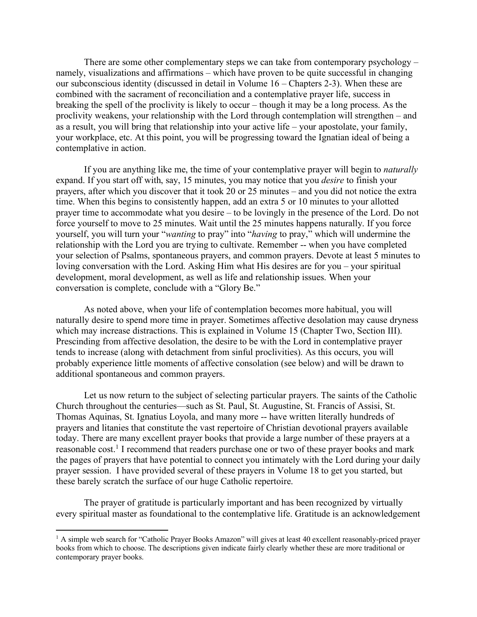There are some other complementary steps we can take from contemporary psychology – namely, visualizations and affirmations – which have proven to be quite successful in changing our subconscious identity (discussed in detail in Volume 16 – Chapters 2-3). When these are combined with the sacrament of reconciliation and a contemplative prayer life, success in breaking the spell of the proclivity is likely to occur – though it may be a long process. As the proclivity weakens, your relationship with the Lord through contemplation will strengthen – and as a result, you will bring that relationship into your active life – your apostolate, your family, your workplace, etc. At this point, you will be progressing toward the Ignatian ideal of being a contemplative in action.

 If you are anything like me, the time of your contemplative prayer will begin to *naturally* expand. If you start off with, say, 15 minutes, you may notice that you *desire* to finish your prayers, after which you discover that it took 20 or 25 minutes – and you did not notice the extra time. When this begins to consistently happen, add an extra 5 or 10 minutes to your allotted prayer time to accommodate what you desire – to be lovingly in the presence of the Lord. Do not force yourself to move to 25 minutes. Wait until the 25 minutes happens naturally. If you force yourself, you will turn your "*wanting* to pray" into "*having* to pray," which will undermine the relationship with the Lord you are trying to cultivate. Remember -- when you have completed your selection of Psalms, spontaneous prayers, and common prayers. Devote at least 5 minutes to loving conversation with the Lord. Asking Him what His desires are for you – your spiritual development, moral development, as well as life and relationship issues. When your conversation is complete, conclude with a "Glory Be."

 As noted above, when your life of contemplation becomes more habitual, you will naturally desire to spend more time in prayer. Sometimes affective desolation may cause dryness which may increase distractions. This is explained in Volume 15 (Chapter Two, Section III). Prescinding from affective desolation, the desire to be with the Lord in contemplative prayer tends to increase (along with detachment from sinful proclivities). As this occurs, you will probably experience little moments of affective consolation (see below) and will be drawn to additional spontaneous and common prayers.

 Let us now return to the subject of selecting particular prayers. The saints of the Catholic Church throughout the centuries—such as St. Paul, St. Augustine, St. Francis of Assisi, St. Thomas Aquinas, St. Ignatius Loyola, and many more -- have written literally hundreds of prayers and litanies that constitute the vast repertoire of Christian devotional prayers available today. There are many excellent prayer books that provide a large number of these prayers at a reasonable cost.<sup>1</sup> I recommend that readers purchase one or two of these prayer books and mark the pages of prayers that have potential to connect you intimately with the Lord during your daily prayer session. I have provided several of these prayers in Volume 18 to get you started, but these barely scratch the surface of our huge Catholic repertoire.

 The prayer of gratitude is particularly important and has been recognized by virtually every spiritual master as foundational to the contemplative life. Gratitude is an acknowledgement

<u>.</u>

<sup>&</sup>lt;sup>1</sup> A simple web search for "Catholic Prayer Books Amazon" will gives at least 40 excellent reasonably-priced prayer books from which to choose. The descriptions given indicate fairly clearly whether these are more traditional or contemporary prayer books.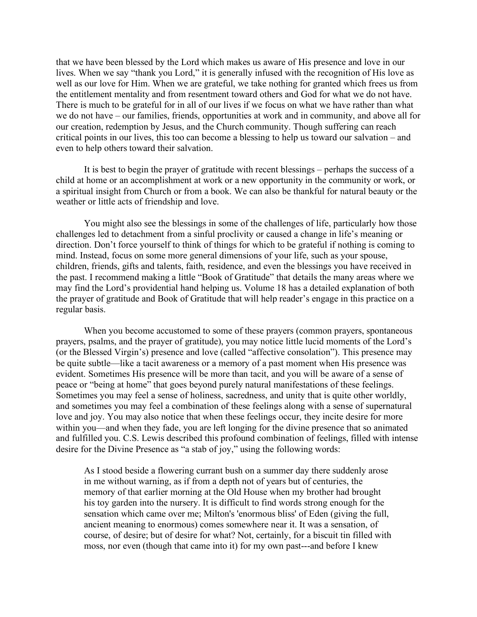that we have been blessed by the Lord which makes us aware of His presence and love in our lives. When we say "thank you Lord," it is generally infused with the recognition of His love as well as our love for Him. When we are grateful, we take nothing for granted which frees us from the entitlement mentality and from resentment toward others and God for what we do not have. There is much to be grateful for in all of our lives if we focus on what we have rather than what we do not have – our families, friends, opportunities at work and in community, and above all for our creation, redemption by Jesus, and the Church community. Though suffering can reach critical points in our lives, this too can become a blessing to help us toward our salvation – and even to help others toward their salvation.

 It is best to begin the prayer of gratitude with recent blessings – perhaps the success of a child at home or an accomplishment at work or a new opportunity in the community or work, or a spiritual insight from Church or from a book. We can also be thankful for natural beauty or the weather or little acts of friendship and love.

 You might also see the blessings in some of the challenges of life, particularly how those challenges led to detachment from a sinful proclivity or caused a change in life's meaning or direction. Don't force yourself to think of things for which to be grateful if nothing is coming to mind. Instead, focus on some more general dimensions of your life, such as your spouse, children, friends, gifts and talents, faith, residence, and even the blessings you have received in the past. I recommend making a little "Book of Gratitude" that details the many areas where we may find the Lord's providential hand helping us. Volume 18 has a detailed explanation of both the prayer of gratitude and Book of Gratitude that will help reader's engage in this practice on a regular basis.

When you become accustomed to some of these prayers (common prayers, spontaneous prayers, psalms, and the prayer of gratitude), you may notice little lucid moments of the Lord's (or the Blessed Virgin's) presence and love (called "affective consolation"). This presence may be quite subtle—like a tacit awareness or a memory of a past moment when His presence was evident. Sometimes His presence will be more than tacit, and you will be aware of a sense of peace or "being at home" that goes beyond purely natural manifestations of these feelings. Sometimes you may feel a sense of holiness, sacredness, and unity that is quite other worldly, and sometimes you may feel a combination of these feelings along with a sense of supernatural love and joy. You may also notice that when these feelings occur, they incite desire for more within you—and when they fade, you are left longing for the divine presence that so animated and fulfilled you. C.S. Lewis described this profound combination of feelings, filled with intense desire for the Divine Presence as "a stab of joy," using the following words:

As I stood beside a flowering currant bush on a summer day there suddenly arose in me without warning, as if from a depth not of years but of centuries, the memory of that earlier morning at the Old House when my brother had brought his toy garden into the nursery. It is difficult to find words strong enough for the sensation which came over me; Milton's 'enormous bliss' of Eden (giving the full, ancient meaning to enormous) comes somewhere near it. It was a sensation, of course, of desire; but of desire for what? Not, certainly, for a biscuit tin filled with moss, nor even (though that came into it) for my own past---and before I knew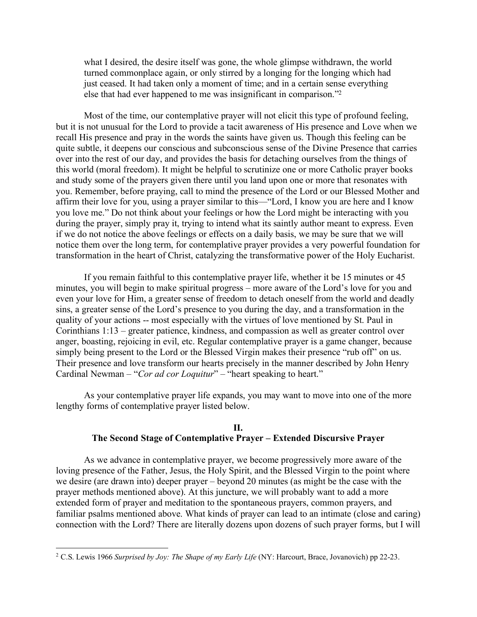what I desired, the desire itself was gone, the whole glimpse withdrawn, the world turned commonplace again, or only stirred by a longing for the longing which had just ceased. It had taken only a moment of time; and in a certain sense everything else that had ever happened to me was insignificant in comparison."<sup>2</sup>

 Most of the time, our contemplative prayer will not elicit this type of profound feeling, but it is not unusual for the Lord to provide a tacit awareness of His presence and Love when we recall His presence and pray in the words the saints have given us. Though this feeling can be quite subtle, it deepens our conscious and subconscious sense of the Divine Presence that carries over into the rest of our day, and provides the basis for detaching ourselves from the things of this world (moral freedom). It might be helpful to scrutinize one or more Catholic prayer books and study some of the prayers given there until you land upon one or more that resonates with you. Remember, before praying, call to mind the presence of the Lord or our Blessed Mother and affirm their love for you, using a prayer similar to this—"Lord, I know you are here and I know you love me." Do not think about your feelings or how the Lord might be interacting with you during the prayer, simply pray it, trying to intend what its saintly author meant to express. Even if we do not notice the above feelings or effects on a daily basis, we may be sure that we will notice them over the long term, for contemplative prayer provides a very powerful foundation for transformation in the heart of Christ, catalyzing the transformative power of the Holy Eucharist.

 If you remain faithful to this contemplative prayer life, whether it be 15 minutes or 45 minutes, you will begin to make spiritual progress – more aware of the Lord's love for you and even your love for Him, a greater sense of freedom to detach oneself from the world and deadly sins, a greater sense of the Lord's presence to you during the day, and a transformation in the quality of your actions -- most especially with the virtues of love mentioned by St. Paul in Corinthians 1:13 – greater patience, kindness, and compassion as well as greater control over anger, boasting, rejoicing in evil, etc. Regular contemplative prayer is a game changer, because simply being present to the Lord or the Blessed Virgin makes their presence "rub off" on us. Their presence and love transform our hearts precisely in the manner described by John Henry Cardinal Newman – "*Cor ad cor Loquitur*" – "heart speaking to heart."

 As your contemplative prayer life expands, you may want to move into one of the more lengthy forms of contemplative prayer listed below.

#### **II. The Second Stage of Contemplative Prayer – Extended Discursive Prayer**

 As we advance in contemplative prayer, we become progressively more aware of the loving presence of the Father, Jesus, the Holy Spirit, and the Blessed Virgin to the point where we desire (are drawn into) deeper prayer – beyond 20 minutes (as might be the case with the prayer methods mentioned above). At this juncture, we will probably want to add a more extended form of prayer and meditation to the spontaneous prayers, common prayers, and familiar psalms mentioned above. What kinds of prayer can lead to an intimate (close and caring) connection with the Lord? There are literally dozens upon dozens of such prayer forms, but I will

 $\overline{a}$ 

<sup>2</sup> C.S. Lewis 1966 *Surprised by Joy: The Shape of my Early Life* (NY: Harcourt, Brace, Jovanovich) pp 22-23.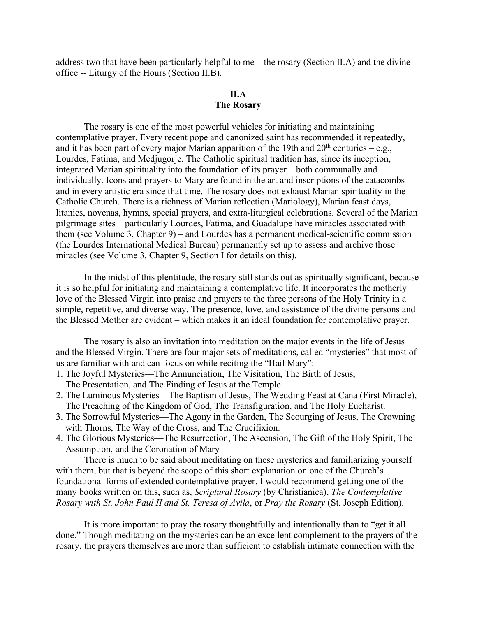address two that have been particularly helpful to me – the rosary (Section II.A) and the divine office -- Liturgy of the Hours (Section II.B).

### **II.A The Rosary**

 The rosary is one of the most powerful vehicles for initiating and maintaining contemplative prayer. Every recent pope and canonized saint has recommended it repeatedly, and it has been part of every major Marian apparition of the 19th and  $20<sup>th</sup>$  centuries – e.g., Lourdes, Fatima, and Medjugorje. The Catholic spiritual tradition has, since its inception, integrated Marian spirituality into the foundation of its prayer – both communally and individually. Icons and prayers to Mary are found in the art and inscriptions of the catacombs – and in every artistic era since that time. The rosary does not exhaust Marian spirituality in the Catholic Church. There is a richness of Marian reflection (Mariology), Marian feast days, litanies, novenas, hymns, special prayers, and extra-liturgical celebrations. Several of the Marian pilgrimage sites – particularly Lourdes, Fatima, and Guadalupe have miracles associated with them (see Volume 3, Chapter 9) – and Lourdes has a permanent medical-scientific commission (the Lourdes International Medical Bureau) permanently set up to assess and archive those miracles (see Volume 3, Chapter 9, Section I for details on this).

 In the midst of this plentitude, the rosary still stands out as spiritually significant, because it is so helpful for initiating and maintaining a contemplative life. It incorporates the motherly love of the Blessed Virgin into praise and prayers to the three persons of the Holy Trinity in a simple, repetitive, and diverse way. The presence, love, and assistance of the divine persons and the Blessed Mother are evident – which makes it an ideal foundation for contemplative prayer.

 The rosary is also an invitation into meditation on the major events in the life of Jesus and the Blessed Virgin. There are four major sets of meditations, called "mysteries" that most of us are familiar with and can focus on while reciting the "Hail Mary":

- 1. The Joyful Mysteries—The Annunciation, The Visitation, The Birth of Jesus, The Presentation, and The Finding of Jesus at the Temple.
- 2. The Luminous Mysteries—The Baptism of Jesus, The Wedding Feast at Cana (First Miracle), The Preaching of the Kingdom of God, The Transfiguration, and The Holy Eucharist.
- 3. The Sorrowful Mysteries—The Agony in the Garden, The Scourging of Jesus, The Crowning with Thorns, The Way of the Cross, and The Crucifixion.
- 4. The Glorious Mysteries—The Resurrection, The Ascension, The Gift of the Holy Spirit, The Assumption, and the Coronation of Mary

 There is much to be said about meditating on these mysteries and familiarizing yourself with them, but that is beyond the scope of this short explanation on one of the Church's foundational forms of extended contemplative prayer. I would recommend getting one of the many books written on this, such as, *Scriptural Rosary* (by Christianica), *The Contemplative Rosary with St. John Paul II and St. Teresa of Avila*, or *Pray the Rosary* (St. Joseph Edition).

 It is more important to pray the rosary thoughtfully and intentionally than to "get it all done." Though meditating on the mysteries can be an excellent complement to the prayers of the rosary, the prayers themselves are more than sufficient to establish intimate connection with the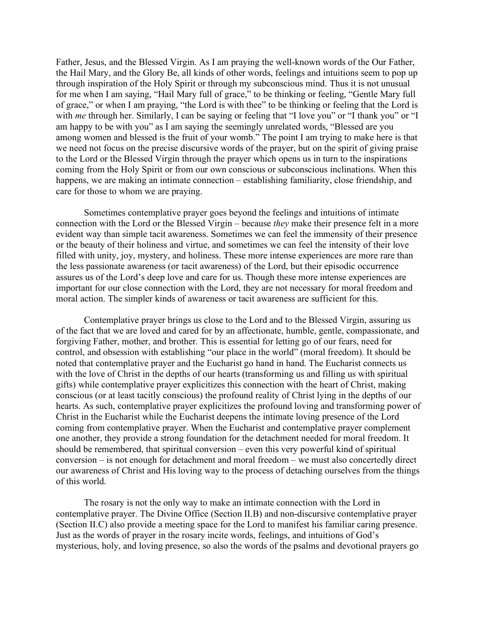Father, Jesus, and the Blessed Virgin. As I am praying the well-known words of the Our Father, the Hail Mary, and the Glory Be, all kinds of other words, feelings and intuitions seem to pop up through inspiration of the Holy Spirit or through my subconscious mind. Thus it is not unusual for me when I am saying, "Hail Mary full of grace," to be thinking or feeling, "Gentle Mary full of grace," or when I am praying, "the Lord is with thee" to be thinking or feeling that the Lord is with *me* through her. Similarly, I can be saying or feeling that "I love you" or "I thank you" or "I am happy to be with you" as I am saying the seemingly unrelated words, "Blessed are you among women and blessed is the fruit of your womb." The point I am trying to make here is that we need not focus on the precise discursive words of the prayer, but on the spirit of giving praise to the Lord or the Blessed Virgin through the prayer which opens us in turn to the inspirations coming from the Holy Spirit or from our own conscious or subconscious inclinations. When this happens, we are making an intimate connection – establishing familiarity, close friendship, and care for those to whom we are praying.

 Sometimes contemplative prayer goes beyond the feelings and intuitions of intimate connection with the Lord or the Blessed Virgin – because *they* make their presence felt in a more evident way than simple tacit awareness. Sometimes we can feel the immensity of their presence or the beauty of their holiness and virtue, and sometimes we can feel the intensity of their love filled with unity, joy, mystery, and holiness. These more intense experiences are more rare than the less passionate awareness (or tacit awareness) of the Lord, but their episodic occurrence assures us of the Lord's deep love and care for us. Though these more intense experiences are important for our close connection with the Lord, they are not necessary for moral freedom and moral action. The simpler kinds of awareness or tacit awareness are sufficient for this.

 Contemplative prayer brings us close to the Lord and to the Blessed Virgin, assuring us of the fact that we are loved and cared for by an affectionate, humble, gentle, compassionate, and forgiving Father, mother, and brother. This is essential for letting go of our fears, need for control, and obsession with establishing "our place in the world" (moral freedom). It should be noted that contemplative prayer and the Eucharist go hand in hand. The Eucharist connects us with the love of Christ in the depths of our hearts (transforming us and filling us with spiritual gifts) while contemplative prayer explicitizes this connection with the heart of Christ, making conscious (or at least tacitly conscious) the profound reality of Christ lying in the depths of our hearts. As such, contemplative prayer explicitizes the profound loving and transforming power of Christ in the Eucharist while the Eucharist deepens the intimate loving presence of the Lord coming from contemplative prayer. When the Eucharist and contemplative prayer complement one another, they provide a strong foundation for the detachment needed for moral freedom. It should be remembered, that spiritual conversion – even this very powerful kind of spiritual conversion – is not enough for detachment and moral freedom – we must also concertedly direct our awareness of Christ and His loving way to the process of detaching ourselves from the things of this world.

 The rosary is not the only way to make an intimate connection with the Lord in contemplative prayer. The Divine Office (Section II.B) and non-discursive contemplative prayer (Section II.C) also provide a meeting space for the Lord to manifest his familiar caring presence. Just as the words of prayer in the rosary incite words, feelings, and intuitions of God's mysterious, holy, and loving presence, so also the words of the psalms and devotional prayers go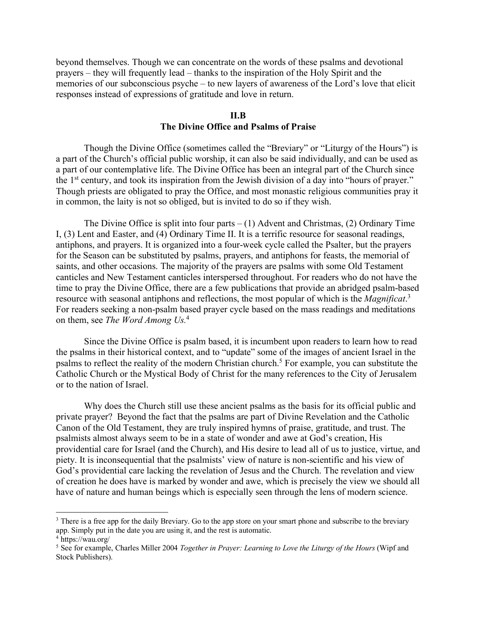beyond themselves. Though we can concentrate on the words of these psalms and devotional prayers – they will frequently lead – thanks to the inspiration of the Holy Spirit and the memories of our subconscious psyche – to new layers of awareness of the Lord's love that elicit responses instead of expressions of gratitude and love in return.

## **II.B The Divine Office and Psalms of Praise**

 Though the Divine Office (sometimes called the "Breviary" or "Liturgy of the Hours") is a part of the Church's official public worship, it can also be said individually, and can be used as a part of our contemplative life. The Divine Office has been an integral part of the Church since the 1st century, and took its inspiration from the Jewish division of a day into "hours of prayer." Though priests are obligated to pray the Office, and most monastic religious communities pray it in common, the laity is not so obliged, but is invited to do so if they wish.

The Divine Office is split into four parts  $- (1)$  Advent and Christmas, (2) Ordinary Time I, (3) Lent and Easter, and (4) Ordinary Time II. It is a terrific resource for seasonal readings, antiphons, and prayers. It is organized into a four-week cycle called the Psalter, but the prayers for the Season can be substituted by psalms, prayers, and antiphons for feasts, the memorial of saints, and other occasions. The majority of the prayers are psalms with some Old Testament canticles and New Testament canticles interspersed throughout. For readers who do not have the time to pray the Divine Office, there are a few publications that provide an abridged psalm-based resource with seasonal antiphons and reflections, the most popular of which is the *Magnificat*. 3 For readers seeking a non-psalm based prayer cycle based on the mass readings and meditations on them, see *The Word Among Us.*<sup>4</sup>

 Since the Divine Office is psalm based, it is incumbent upon readers to learn how to read the psalms in their historical context, and to "update" some of the images of ancient Israel in the psalms to reflect the reality of the modern Christian church.<sup>5</sup> For example, you can substitute the Catholic Church or the Mystical Body of Christ for the many references to the City of Jerusalem or to the nation of Israel.

 Why does the Church still use these ancient psalms as the basis for its official public and private prayer? Beyond the fact that the psalms are part of Divine Revelation and the Catholic Canon of the Old Testament, they are truly inspired hymns of praise, gratitude, and trust. The psalmists almost always seem to be in a state of wonder and awe at God's creation, His providential care for Israel (and the Church), and His desire to lead all of us to justice, virtue, and piety. It is inconsequential that the psalmists' view of nature is non-scientific and his view of God's providential care lacking the revelation of Jesus and the Church. The revelation and view of creation he does have is marked by wonder and awe, which is precisely the view we should all have of nature and human beings which is especially seen through the lens of modern science.

-

<sup>&</sup>lt;sup>3</sup> There is a free app for the daily Breviary. Go to the app store on your smart phone and subscribe to the breviary app. Simply put in the date you are using it, and the rest is automatic. 4 https://wau.org/

<sup>5</sup> See for example, Charles Miller 2004 *Together in Prayer: Learning to Love the Liturgy of the Hours* (Wipf and Stock Publishers).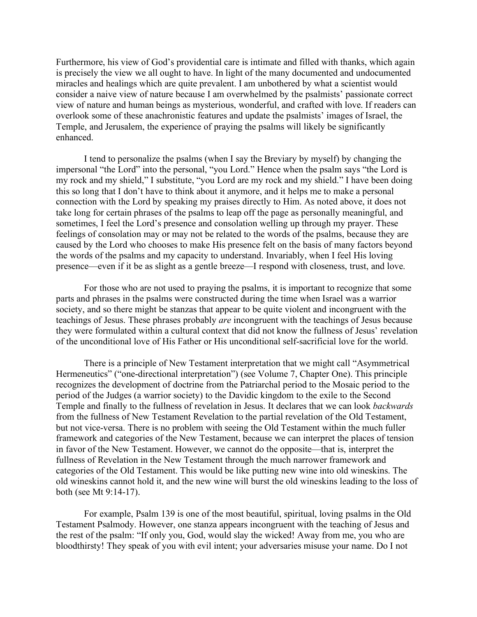Furthermore, his view of God's providential care is intimate and filled with thanks, which again is precisely the view we all ought to have. In light of the many documented and undocumented miracles and healings which are quite prevalent. I am unbothered by what a scientist would consider a naive view of nature because I am overwhelmed by the psalmists' passionate correct view of nature and human beings as mysterious, wonderful, and crafted with love. If readers can overlook some of these anachronistic features and update the psalmists' images of Israel, the Temple, and Jerusalem, the experience of praying the psalms will likely be significantly enhanced.

 I tend to personalize the psalms (when I say the Breviary by myself) by changing the impersonal "the Lord" into the personal, "you Lord." Hence when the psalm says "the Lord is my rock and my shield," I substitute, "you Lord are my rock and my shield." I have been doing this so long that I don't have to think about it anymore, and it helps me to make a personal connection with the Lord by speaking my praises directly to Him. As noted above, it does not take long for certain phrases of the psalms to leap off the page as personally meaningful, and sometimes, I feel the Lord's presence and consolation welling up through my prayer. These feelings of consolation may or may not be related to the words of the psalms, because they are caused by the Lord who chooses to make His presence felt on the basis of many factors beyond the words of the psalms and my capacity to understand. Invariably, when I feel His loving presence—even if it be as slight as a gentle breeze—I respond with closeness, trust, and love.

 For those who are not used to praying the psalms, it is important to recognize that some parts and phrases in the psalms were constructed during the time when Israel was a warrior society, and so there might be stanzas that appear to be quite violent and incongruent with the teachings of Jesus. These phrases probably *are* incongruent with the teachings of Jesus because they were formulated within a cultural context that did not know the fullness of Jesus' revelation of the unconditional love of His Father or His unconditional self-sacrificial love for the world.

 There is a principle of New Testament interpretation that we might call "Asymmetrical Hermeneutics" ("one-directional interpretation") (see Volume 7, Chapter One). This principle recognizes the development of doctrine from the Patriarchal period to the Mosaic period to the period of the Judges (a warrior society) to the Davidic kingdom to the exile to the Second Temple and finally to the fullness of revelation in Jesus. It declares that we can look *backwards*  from the fullness of New Testament Revelation to the partial revelation of the Old Testament, but not vice-versa. There is no problem with seeing the Old Testament within the much fuller framework and categories of the New Testament, because we can interpret the places of tension in favor of the New Testament. However, we cannot do the opposite—that is, interpret the fullness of Revelation in the New Testament through the much narrower framework and categories of the Old Testament. This would be like putting new wine into old wineskins. The old wineskins cannot hold it, and the new wine will burst the old wineskins leading to the loss of both (see Mt 9:14-17).

 For example, Psalm 139 is one of the most beautiful, spiritual, loving psalms in the Old Testament Psalmody. However, one stanza appears incongruent with the teaching of Jesus and the rest of the psalm: "If only you, God, would slay the wicked! Away from me, you who are bloodthirsty! They speak of you with evil intent; your adversaries misuse your name. Do I not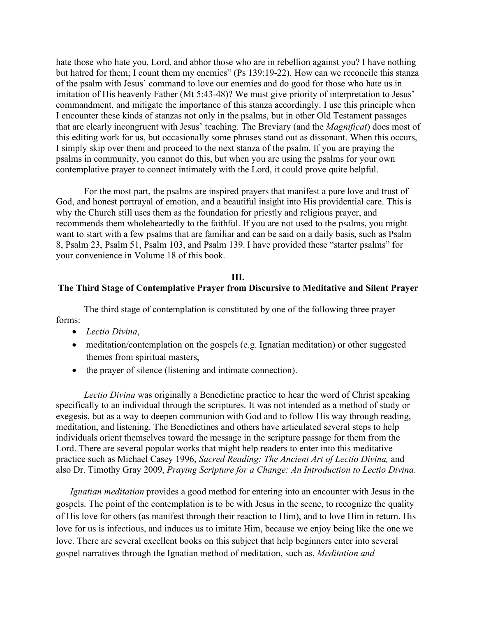hate those who hate you, Lord, and abhor those who are in rebellion against you? I have nothing but hatred for them; I count them my enemies" (Ps 139:19-22). How can we reconcile this stanza of the psalm with Jesus' command to love our enemies and do good for those who hate us in imitation of His heavenly Father (Mt 5:43-48)? We must give priority of interpretation to Jesus' commandment, and mitigate the importance of this stanza accordingly. I use this principle when I encounter these kinds of stanzas not only in the psalms, but in other Old Testament passages that are clearly incongruent with Jesus' teaching. The Breviary (and the *Magnificat*) does most of this editing work for us, but occasionally some phrases stand out as dissonant. When this occurs, I simply skip over them and proceed to the next stanza of the psalm. If you are praying the psalms in community, you cannot do this, but when you are using the psalms for your own contemplative prayer to connect intimately with the Lord, it could prove quite helpful.

 For the most part, the psalms are inspired prayers that manifest a pure love and trust of God, and honest portrayal of emotion, and a beautiful insight into His providential care. This is why the Church still uses them as the foundation for priestly and religious prayer, and recommends them wholeheartedly to the faithful. If you are not used to the psalms, you might want to start with a few psalms that are familiar and can be said on a daily basis, such as Psalm 8, Psalm 23, Psalm 51, Psalm 103, and Psalm 139. I have provided these "starter psalms" for your convenience in Volume 18 of this book.

#### **III.**

### **The Third Stage of Contemplative Prayer from Discursive to Meditative and Silent Prayer**

The third stage of contemplation is constituted by one of the following three prayer forms:

- *Lectio Divina*,
- meditation/contemplation on the gospels (e.g. Ignatian meditation) or other suggested themes from spiritual masters,
- the prayer of silence (listening and intimate connection).

*Lectio Divina* was originally a Benedictine practice to hear the word of Christ speaking specifically to an individual through the scriptures. It was not intended as a method of study or exegesis, but as a way to deepen communion with God and to follow His way through reading, meditation, and listening. The Benedictines and others have articulated several steps to help individuals orient themselves toward the message in the scripture passage for them from the Lord. There are several popular works that might help readers to enter into this meditative practice such as Michael Casey 1996, *Sacred Reading: The Ancient Art of Lectio Divina,* and also Dr. Timothy Gray 2009, *Praying Scripture for a Change: An Introduction to Lectio Divina*.

*Ignatian meditation* provides a good method for entering into an encounter with Jesus in the gospels. The point of the contemplation is to be with Jesus in the scene, to recognize the quality of His love for others (as manifest through their reaction to Him), and to love Him in return. His love for us is infectious, and induces us to imitate Him, because we enjoy being like the one we love. There are several excellent books on this subject that help beginners enter into several gospel narratives through the Ignatian method of meditation, such as, *Meditation and*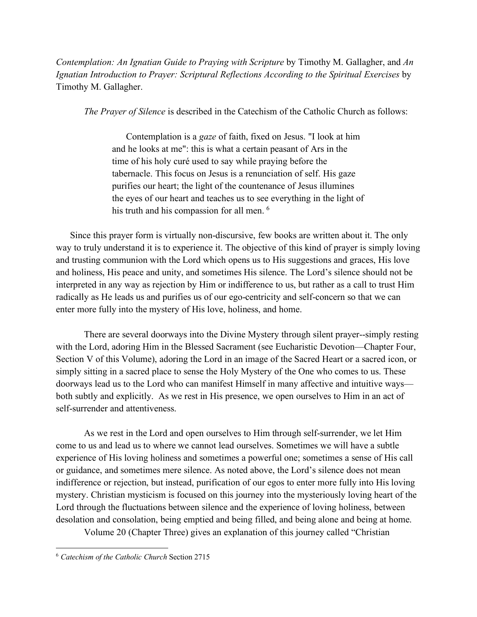*Contemplation: An Ignatian Guide to Praying with Scripture* by Timothy M. Gallagher, and *An Ignatian Introduction to Prayer: Scriptural Reflections According to the Spiritual Exercises* by Timothy M. Gallagher.

*The Prayer of Silence* is described in the Catechism of the Catholic Church as follows:

Contemplation is a *gaze* of faith, fixed on Jesus. "I look at him and he looks at me": this is what a certain peasant of Ars in the time of his holy curé used to say while praying before the tabernacle. This focus on Jesus is a renunciation of self. His gaze purifies our heart; the light of the countenance of Jesus illumines the eyes of our heart and teaches us to see everything in the light of his truth and his compassion for all men.<sup>6</sup>

Since this prayer form is virtually non-discursive, few books are written about it. The only way to truly understand it is to experience it. The objective of this kind of prayer is simply loving and trusting communion with the Lord which opens us to His suggestions and graces, His love and holiness, His peace and unity, and sometimes His silence. The Lord's silence should not be interpreted in any way as rejection by Him or indifference to us, but rather as a call to trust Him radically as He leads us and purifies us of our ego-centricity and self-concern so that we can enter more fully into the mystery of His love, holiness, and home.

 There are several doorways into the Divine Mystery through silent prayer--simply resting with the Lord, adoring Him in the Blessed Sacrament (see Eucharistic Devotion—Chapter Four, Section V of this Volume), adoring the Lord in an image of the Sacred Heart or a sacred icon, or simply sitting in a sacred place to sense the Holy Mystery of the One who comes to us. These doorways lead us to the Lord who can manifest Himself in many affective and intuitive ways both subtly and explicitly. As we rest in His presence, we open ourselves to Him in an act of self-surrender and attentiveness.

 As we rest in the Lord and open ourselves to Him through self-surrender, we let Him come to us and lead us to where we cannot lead ourselves. Sometimes we will have a subtle experience of His loving holiness and sometimes a powerful one; sometimes a sense of His call or guidance, and sometimes mere silence. As noted above, the Lord's silence does not mean indifference or rejection, but instead, purification of our egos to enter more fully into His loving mystery. Christian mysticism is focused on this journey into the mysteriously loving heart of the Lord through the fluctuations between silence and the experience of loving holiness, between desolation and consolation, being emptied and being filled, and being alone and being at home.

Volume 20 (Chapter Three) gives an explanation of this journey called "Christian

 $\overline{a}$ 

<sup>6</sup> *Catechism of the Catholic Church* Section 2715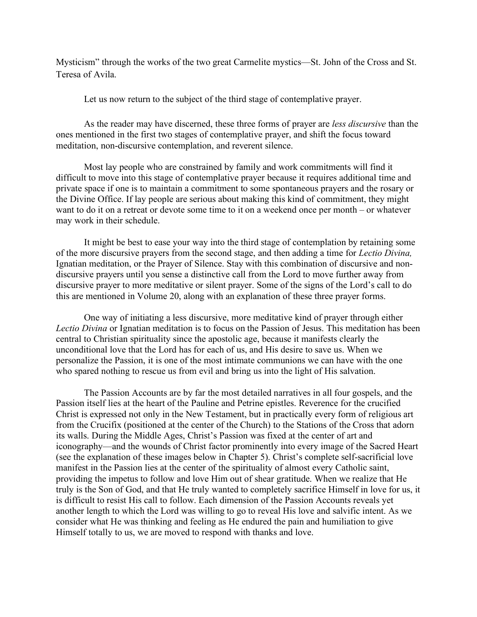Mysticism" through the works of the two great Carmelite mystics—St. John of the Cross and St. Teresa of Avila.

Let us now return to the subject of the third stage of contemplative prayer.

 As the reader may have discerned, these three forms of prayer are *less discursive* than the ones mentioned in the first two stages of contemplative prayer, and shift the focus toward meditation, non-discursive contemplation, and reverent silence.

 Most lay people who are constrained by family and work commitments will find it difficult to move into this stage of contemplative prayer because it requires additional time and private space if one is to maintain a commitment to some spontaneous prayers and the rosary or the Divine Office. If lay people are serious about making this kind of commitment, they might want to do it on a retreat or devote some time to it on a weekend once per month – or whatever may work in their schedule.

 It might be best to ease your way into the third stage of contemplation by retaining some of the more discursive prayers from the second stage, and then adding a time for *Lectio Divina,* Ignatian meditation, or the Prayer of Silence. Stay with this combination of discursive and nondiscursive prayers until you sense a distinctive call from the Lord to move further away from discursive prayer to more meditative or silent prayer. Some of the signs of the Lord's call to do this are mentioned in Volume 20, along with an explanation of these three prayer forms.

 One way of initiating a less discursive, more meditative kind of prayer through either *Lectio Divina* or Ignatian meditation is to focus on the Passion of Jesus. This meditation has been central to Christian spirituality since the apostolic age, because it manifests clearly the unconditional love that the Lord has for each of us, and His desire to save us. When we personalize the Passion, it is one of the most intimate communions we can have with the one who spared nothing to rescue us from evil and bring us into the light of His salvation.

 The Passion Accounts are by far the most detailed narratives in all four gospels, and the Passion itself lies at the heart of the Pauline and Petrine epistles. Reverence for the crucified Christ is expressed not only in the New Testament, but in practically every form of religious art from the Crucifix (positioned at the center of the Church) to the Stations of the Cross that adorn its walls. During the Middle Ages, Christ's Passion was fixed at the center of art and iconography—and the wounds of Christ factor prominently into every image of the Sacred Heart (see the explanation of these images below in Chapter 5). Christ's complete self-sacrificial love manifest in the Passion lies at the center of the spirituality of almost every Catholic saint, providing the impetus to follow and love Him out of shear gratitude. When we realize that He truly is the Son of God, and that He truly wanted to completely sacrifice Himself in love for us, it is difficult to resist His call to follow. Each dimension of the Passion Accounts reveals yet another length to which the Lord was willing to go to reveal His love and salvific intent. As we consider what He was thinking and feeling as He endured the pain and humiliation to give Himself totally to us, we are moved to respond with thanks and love.